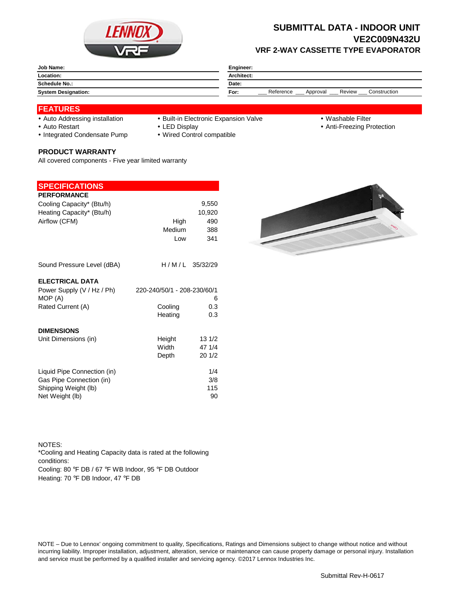

## **SUBMITTAL DATA - INDOOR UNIT VE2C009N432U VRF 2-WAY CASSETTE TYPE EVAPORATOR**

| <b>Job Name:</b>           | <b>Engineer:</b>                                        |  |  |
|----------------------------|---------------------------------------------------------|--|--|
| Location:                  | <b>Architect:</b>                                       |  |  |
| <b>Schedule No.:</b>       | Date:                                                   |  |  |
| <b>System Designation:</b> | Construction<br>Reference<br>Review<br>For:<br>Approval |  |  |

### **FEATURES**

- 
- Auto Addressing installation Built-in Electronic Expansion Valve Washable Filter
- 

- 
- Auto Restart **LED Display Community Auto Restart Auto Restart Community Community Community Community Community Community Community Community Community Community Community Community Community Community Community Communit**
- Integrated Condensate Pump Wired Control compatible

#### **PRODUCT WARRANTY**

All covered components - Five year limited warranty

#### **SPECIFICATIONS**

|         | 9,550                                                       |
|---------|-------------------------------------------------------------|
|         | 10,920                                                      |
|         | 490                                                         |
|         | 388                                                         |
|         | 341                                                         |
|         |                                                             |
|         | H/M/L 35/32/29                                              |
|         |                                                             |
|         |                                                             |
|         | 6                                                           |
| Cooling | 0.3                                                         |
| Heating | 0.3                                                         |
|         |                                                             |
| Height  | 13 1/2                                                      |
| Width   | 47 1/4                                                      |
| Depth   | 201/2                                                       |
|         | 1/4                                                         |
|         | 3/8                                                         |
|         | 115                                                         |
|         | 90                                                          |
|         | High<br><b>Medium</b><br>Low<br>220-240/50/1 - 208-230/60/1 |



NOTES: Cooling: 80 °F DB / 67 °F WB Indoor, 95 °F DB Outdoor Heating: 70 °F DB Indoor, 47 °F DB \*Cooling and Heating Capacity data is rated at the following conditions:

NOTE – Due to Lennox' ongoing commitment to quality, Specifications, Ratings and Dimensions subject to change without notice and without incurring liability. Improper installation, adjustment, alteration, service or maintenance can cause property damage or personal injury. Installation and service must be performed by a qualified installer and servicing agency. ©2017 Lennox Industries Inc.